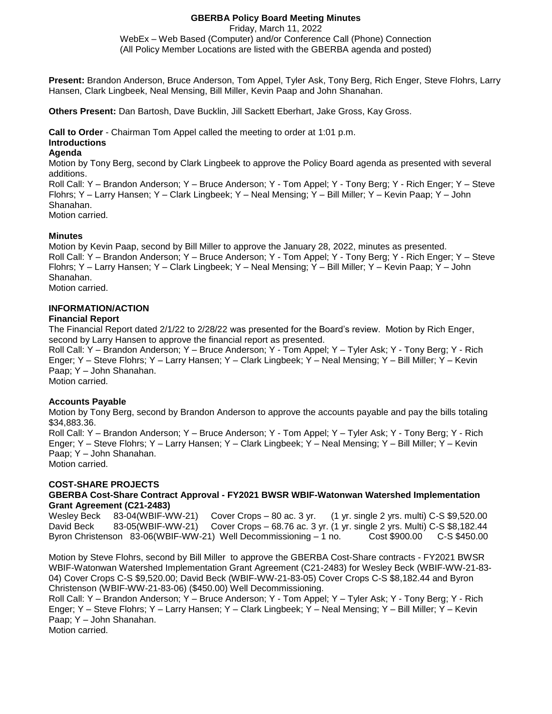## **GBERBA Policy Board Meeting Minutes**

Friday, March 11, 2022

WebEx – Web Based (Computer) and/or Conference Call (Phone) Connection (All Policy Member Locations are listed with the GBERBA agenda and posted)

**Present:** Brandon Anderson, Bruce Anderson, Tom Appel, Tyler Ask, Tony Berg, Rich Enger, Steve Flohrs, Larry Hansen, Clark Lingbeek, Neal Mensing, Bill Miller, Kevin Paap and John Shanahan.

**Others Present:** Dan Bartosh, Dave Bucklin, Jill Sackett Eberhart, Jake Gross, Kay Gross.

**Call to Order** - Chairman Tom Appel called the meeting to order at 1:01 p.m.

# **Introductions**

## **Agenda**

Motion by Tony Berg, second by Clark Lingbeek to approve the Policy Board agenda as presented with several additions.

Roll Call: Y – Brandon Anderson; Y – Bruce Anderson; Y - Tom Appel; Y - Tony Berg; Y - Rich Enger; Y – Steve Flohrs; Y – Larry Hansen; Y – Clark Lingbeek; Y – Neal Mensing; Y – Bill Miller; Y – Kevin Paap; Y – John Shanahan. Motion carried.

## **Minutes**

Motion by Kevin Paap, second by Bill Miller to approve the January 28, 2022, minutes as presented. Roll Call: Y – Brandon Anderson; Y – Bruce Anderson; Y - Tom Appel; Y - Tony Berg; Y - Rich Enger; Y – Steve Flohrs; Y – Larry Hansen; Y – Clark Lingbeek; Y – Neal Mensing; Y – Bill Miller; Y – Kevin Paap; Y – John Shanahan.

Motion carried.

# **INFORMATION/ACTION**

## **Financial Report**

The Financial Report dated 2/1/22 to 2/28/22 was presented for the Board's review. Motion by Rich Enger, second by Larry Hansen to approve the financial report as presented.

Roll Call: Y – Brandon Anderson; Y – Bruce Anderson; Y - Tom Appel; Y – Tyler Ask; Y - Tony Berg; Y - Rich Enger; Y – Steve Flohrs; Y – Larry Hansen; Y – Clark Lingbeek; Y – Neal Mensing; Y – Bill Miller; Y – Kevin Paap; Y – John Shanahan.

Motion carried.

# **Accounts Payable**

Motion by Tony Berg, second by Brandon Anderson to approve the accounts payable and pay the bills totaling \$34,883.36.

Roll Call: Y – Brandon Anderson; Y – Bruce Anderson; Y - Tom Appel; Y – Tyler Ask; Y - Tony Berg; Y - Rich Enger; Y – Steve Flohrs; Y – Larry Hansen; Y – Clark Lingbeek; Y – Neal Mensing; Y – Bill Miller; Y – Kevin Paap; Y – John Shanahan. Motion carried.

**COST-SHARE PROJECTS**

**GBERBA Cost-Share Contract Approval - FY2021 BWSR WBIF-Watonwan Watershed Implementation Grant Agreement (C21-2483)**

Wesley Beck 83-04(WBIF-WW-21) Cover Crops – 80 ac. 3 yr. (1 yr. single 2 yrs. multi) C-S \$9,520.00 David Beck 83-05(WBIF-WW-21) Cover Crops – 68.76 ac. 3 yr. (1 yr. single 2 yrs. Multi) C-S \$8,182.44 Byron Christenson 83-06(WBIF-WW-21) Well Decommissioning – 1 no. Cost \$900.00 C-S \$450.00

Motion by Steve Flohrs, second by Bill Miller to approve the GBERBA Cost-Share contracts - FY2021 BWSR WBIF-Watonwan Watershed Implementation Grant Agreement (C21-2483) for Wesley Beck (WBIF-WW-21-83- 04) Cover Crops C-S \$9,520.00; David Beck (WBIF-WW-21-83-05) Cover Crops C-S \$8,182.44 and Byron Christenson (WBIF-WW-21-83-06) (\$450.00) Well Decommissioning.

Roll Call: Y – Brandon Anderson; Y – Bruce Anderson; Y - Tom Appel; Y – Tyler Ask; Y - Tony Berg; Y - Rich Enger; Y – Steve Flohrs; Y – Larry Hansen; Y – Clark Lingbeek; Y – Neal Mensing; Y – Bill Miller; Y – Kevin Paap; Y – John Shanahan.

Motion carried.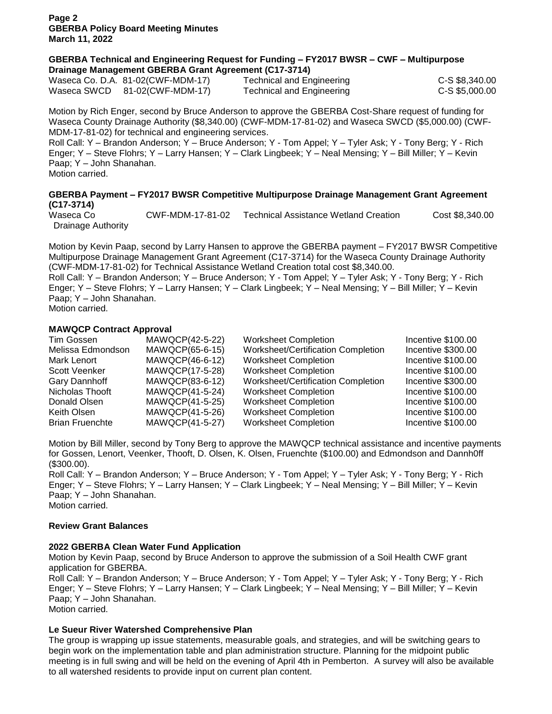**Page 2 GBERBA Policy Board Meeting Minutes March 11, 2022**

## **GBERBA Technical and Engineering Request for Funding – FY2017 BWSR – CWF – Multipurpose Drainage Management GBERBA Grant Agreement (C17-3714)**

|             | Waseca Co. D.A. 81-02(CWF-MDM-17) | Technical and Er |
|-------------|-----------------------------------|------------------|
| Waseca SWCD | 81-02(CWF-MDM-17)                 | Technical and Er |

National C-S \$8,340.00 National C-S \$5,000.00

Motion by Rich Enger, second by Bruce Anderson to approve the GBERBA Cost-Share request of funding for Waseca County Drainage Authority (\$8,340.00) (CWF-MDM-17-81-02) and Waseca SWCD (\$5,000.00) (CWF-MDM-17-81-02) for technical and engineering services.

Roll Call: Y – Brandon Anderson; Y – Bruce Anderson; Y - Tom Appel; Y – Tyler Ask; Y - Tony Berg; Y - Rich Enger; Y – Steve Flohrs; Y – Larry Hansen; Y – Clark Lingbeek; Y – Neal Mensing; Y – Bill Miller; Y – Kevin Paap; Y – John Shanahan.

Motion carried.

## **GBERBA Payment – FY2017 BWSR Competitive Multipurpose Drainage Management Grant Agreement (C17-3714)**

Waseca Co **CWF-MDM-17-81-02** Technical Assistance Wetland Creation Cost \$8,340.00 Drainage Authority

Motion by Kevin Paap, second by Larry Hansen to approve the GBERBA payment – FY2017 BWSR Competitive Multipurpose Drainage Management Grant Agreement (C17-3714) for the Waseca County Drainage Authority (CWF-MDM-17-81-02) for Technical Assistance Wetland Creation total cost \$8,340.00.

Roll Call: Y – Brandon Anderson; Y – Bruce Anderson; Y - Tom Appel; Y – Tyler Ask; Y - Tony Berg; Y - Rich Enger; Y – Steve Flohrs; Y – Larry Hansen; Y – Clark Lingbeek; Y – Neal Mensing; Y – Bill Miller; Y – Kevin Paap; Y – John Shanahan.

Motion carried.

## **MAWQCP Contract Approval**

| Tim Gossen             | MAWQCP(42-5-22) | <b>Worksheet Completion</b>        | Incentive \$100.00 |
|------------------------|-----------------|------------------------------------|--------------------|
| Melissa Edmondson      | MAWQCP(65-6-15) | Worksheet/Certification Completion | Incentive \$300.00 |
| Mark Lenort            | MAWQCP(46-6-12) | <b>Worksheet Completion</b>        | Incentive \$100.00 |
| Scott Veenker          | MAWQCP(17-5-28) | <b>Worksheet Completion</b>        | Incentive \$100.00 |
| Gary Dannhoff          | MAWQCP(83-6-12) | Worksheet/Certification Completion | Incentive \$300.00 |
| Nicholas Thooft        | MAWQCP(41-5-24) | <b>Worksheet Completion</b>        | Incentive \$100.00 |
| Donald Olsen           | MAWQCP(41-5-25) | <b>Worksheet Completion</b>        | Incentive \$100.00 |
| Keith Olsen            | MAWQCP(41-5-26) | <b>Worksheet Completion</b>        | Incentive \$100.00 |
| <b>Brian Fruenchte</b> | MAWQCP(41-5-27) | <b>Worksheet Completion</b>        | Incentive \$100.00 |

Motion by Bill Miller, second by Tony Berg to approve the MAWQCP technical assistance and incentive payments for Gossen, Lenort, Veenker, Thooft, D. Olsen, K. Olsen, Fruenchte (\$100.00) and Edmondson and Dannh0ff (\$300.00).

Roll Call: Y – Brandon Anderson; Y – Bruce Anderson; Y - Tom Appel; Y – Tyler Ask; Y - Tony Berg; Y - Rich Enger; Y – Steve Flohrs; Y – Larry Hansen; Y – Clark Lingbeek; Y – Neal Mensing; Y – Bill Miller; Y – Kevin Paap; Y – John Shanahan. Motion carried.

## **Review Grant Balances**

# **2022 GBERBA Clean Water Fund Application**

Motion by Kevin Paap, second by Bruce Anderson to approve the submission of a Soil Health CWF grant application for GBERBA.

Roll Call: Y – Brandon Anderson; Y – Bruce Anderson; Y - Tom Appel; Y – Tyler Ask; Y - Tony Berg; Y - Rich Enger; Y – Steve Flohrs; Y – Larry Hansen; Y – Clark Lingbeek; Y – Neal Mensing; Y – Bill Miller; Y – Kevin Paap; Y – John Shanahan.

Motion carried.

# **Le Sueur River Watershed Comprehensive Plan**

The group is wrapping up issue statements, measurable goals, and strategies, and will be switching gears to begin work on the implementation table and plan administration structure. Planning for the midpoint public meeting is in full swing and will be held on the evening of April 4th in Pemberton. A survey will also be available to all watershed residents to provide input on current plan content.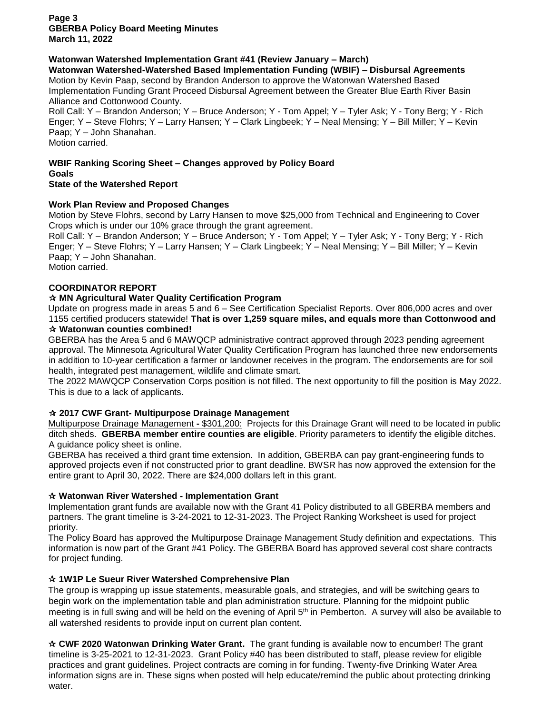**Page 3 GBERBA Policy Board Meeting Minutes March 11, 2022**

# **Watonwan Watershed Implementation Grant #41 (Review January – March)**

**Watonwan Watershed-Watershed Based Implementation Funding (WBIF) – Disbursal Agreements**

Motion by Kevin Paap, second by Brandon Anderson to approve the Watonwan Watershed Based Implementation Funding Grant Proceed Disbursal Agreement between the Greater Blue Earth River Basin Alliance and Cottonwood County.

Roll Call: Y – Brandon Anderson; Y – Bruce Anderson; Y - Tom Appel; Y – Tyler Ask; Y - Tony Berg; Y - Rich Enger; Y – Steve Flohrs; Y – Larry Hansen; Y – Clark Lingbeek; Y – Neal Mensing; Y – Bill Miller; Y – Kevin Paap; Y – John Shanahan.

Motion carried.

**WBIF Ranking Scoring Sheet – Changes approved by Policy Board Goals**

**State of the Watershed Report**

# **Work Plan Review and Proposed Changes**

Motion by Steve Flohrs, second by Larry Hansen to move \$25,000 from Technical and Engineering to Cover Crops which is under our 10% grace through the grant agreement.

Roll Call: Y – Brandon Anderson; Y – Bruce Anderson; Y - Tom Appel; Y – Tyler Ask; Y - Tony Berg; Y - Rich Enger; Y – Steve Flohrs; Y – Larry Hansen; Y – Clark Lingbeek; Y – Neal Mensing; Y – Bill Miller; Y – Kevin Paap; Y – John Shanahan.

Motion carried.

# **COORDINATOR REPORT**

# **MN Agricultural Water Quality Certification Program**

Update on progress made in areas 5 and 6 – See Certification Specialist Reports. Over 806,000 acres and over 1155 certified producers statewide! **That is over 1,259 square miles, and equals more than Cottonwood and Watonwan counties combined!**

GBERBA has the Area 5 and 6 MAWQCP administrative contract approved through 2023 pending agreement approval. The Minnesota Agricultural Water Quality Certification Program has launched three new endorsements in addition to 10-year certification a farmer or landowner receives in the program. The endorsements are for soil health, integrated pest management, wildlife and climate smart.

The 2022 MAWQCP Conservation Corps position is not filled. The next opportunity to fill the position is May 2022. This is due to a lack of applicants.

# **2017 CWF Grant- Multipurpose Drainage Management**

Multipurpose Drainage Management **-** \$301,200: Projects for this Drainage Grant will need to be located in public ditch sheds. **GBERBA member entire counties are eligible**. Priority parameters to identify the eligible ditches. A guidance policy sheet is online.

GBERBA has received a third grant time extension. In addition, GBERBA can pay grant-engineering funds to approved projects even if not constructed prior to grant deadline. BWSR has now approved the extension for the entire grant to April 30, 2022. There are \$24,000 dollars left in this grant.

# **Watonwan River Watershed - Implementation Grant**

Implementation grant funds are available now with the Grant 41 Policy distributed to all GBERBA members and partners. The grant timeline is 3-24-2021 to 12-31-2023. The Project Ranking Worksheet is used for project priority.

The Policy Board has approved the Multipurpose Drainage Management Study definition and expectations. This information is now part of the Grant #41 Policy. The GBERBA Board has approved several cost share contracts for project funding.

# **1W1P Le Sueur River Watershed Comprehensive Plan**

The group is wrapping up issue statements, measurable goals, and strategies, and will be switching gears to begin work on the implementation table and plan administration structure. Planning for the midpoint public meeting is in full swing and will be held on the evening of April 5<sup>th</sup> in Pemberton. A survey will also be available to all watershed residents to provide input on current plan content.

 **CWF 2020 Watonwan Drinking Water Grant.** The grant funding is available now to encumber! The grant timeline is 3-25-2021 to 12-31-2023. Grant Policy #40 has been distributed to staff, please review for eligible practices and grant guidelines. Project contracts are coming in for funding. Twenty-five Drinking Water Area information signs are in. These signs when posted will help educate/remind the public about protecting drinking water.